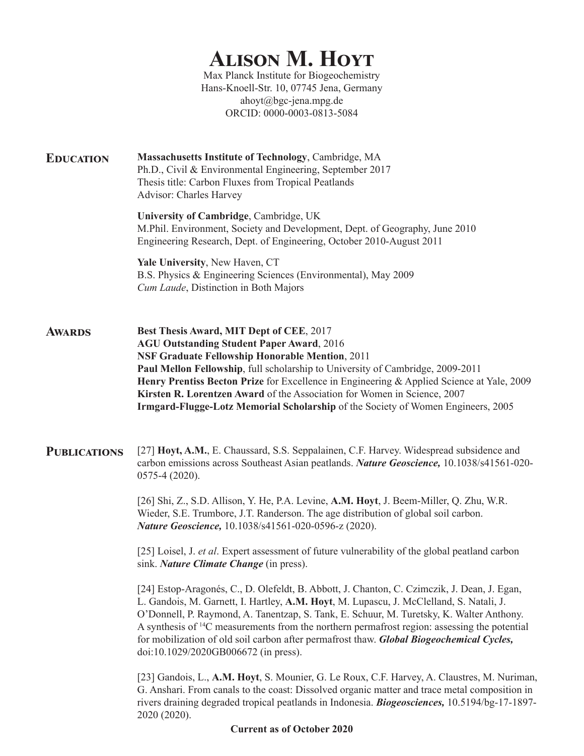# **Alison M. Hoyt**

Max Planck Institute for Biogeochemistry Hans-Knoell-Str. 10, 07745 Jena, Germany ahoyt@bgc-jena.mpg.de ORCID: 0000-0003-0813-5084

**Education Massachusetts Institute of Technology**, Cambridge, MA Ph.D., Civil & Environmental Engineering, September 2017 Thesis title: Carbon Fluxes from Tropical Peatlands Advisor: Charles Harvey

> **University of Cambridge**, Cambridge, UK M.Phil. Environment, Society and Development, Dept. of Geography, June 2010 Engineering Research, Dept. of Engineering, October 2010-August 2011

**Yale University**, New Haven, CT B.S. Physics & Engineering Sciences (Environmental), May 2009 *Cum Laude*, Distinction in Both Majors

**Best Thesis Award, MIT Dept of CEE**, 2017 **AGU Outstanding Student Paper Award**, 2016 **NSF Graduate Fellowship Honorable Mention**, 2011 **Paul Mellon Fellowship**, full scholarship to University of Cambridge, 2009-2011 **Henry Prentiss Becton Prize** for Excellence in Engineering & Applied Science at Yale, 2009 **Kirsten R. Lorentzen Award** of the Association for Women in Science, 2007 **Irmgard-Flugge-Lotz Memorial Scholarship** of the Society of Women Engineers, 2005 **Awards**

**Publications** [27] **Hoyt, A.M.**, E. Chaussard, S.S. Seppalainen, C.F. Harvey. Widespread subsidence and carbon emissions across Southeast Asian peatlands. *Nature Geoscience,* 10.1038/s41561-020- 0575-4 (2020).

> [26] Shi, Z., S.D. Allison, Y. He, P.A. Levine, **A.M. Hoyt**, J. Beem-Miller, Q. Zhu, W.R. Wieder, S.E. Trumbore, J.T. Randerson. The age distribution of global soil carbon. *Nature Geoscience,* 10.1038/s41561-020-0596-z (2020).

[25] Loisel, J. *et al*. Expert assessment of future vulnerability of the global peatland carbon sink. *Nature Climate Change* (in press).

[24] Estop-Aragonés, C., D. Olefeldt, B. Abbott, J. Chanton, C. Czimczik, J. Dean, J. Egan, L. Gandois, M. Garnett, I. Hartley, **A.M. Hoyt**, M. Lupascu, J. McClelland, S. Natali, J. O'Donnell, P. Raymond, A. Tanentzap, S. Tank, E. Schuur, M. Turetsky, K. Walter Anthony. A synthesis of 14C measurements from the northern permafrost region: assessing the potential for mobilization of old soil carbon after permafrost thaw. *Global Biogeochemical Cycles,*  doi:10.1029/2020GB006672 (in press).

[23] Gandois, L., **A.M. Hoyt**, S. Mounier, G. Le Roux, C.F. Harvey, A. Claustres, M. Nuriman, G. Anshari. From canals to the coast: Dissolved organic matter and trace metal composition in rivers draining degraded tropical peatlands in Indonesia. *Biogeosciences,* 10.5194/bg-17-1897- 2020 (2020).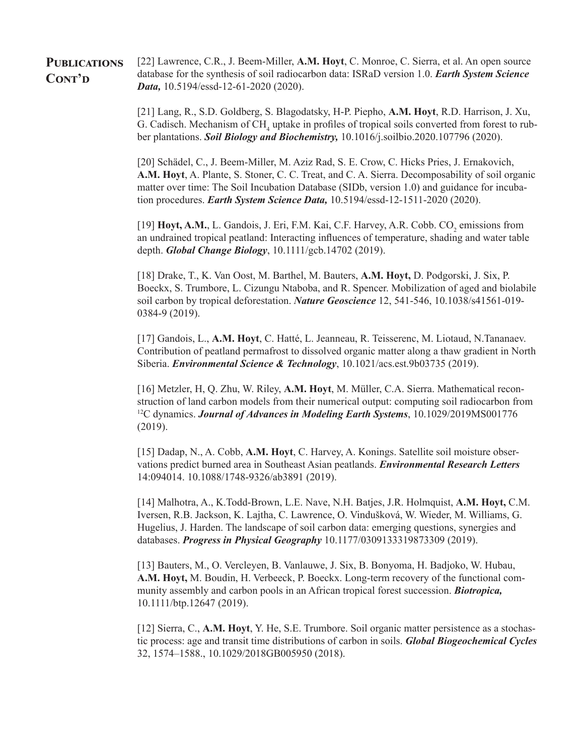#### [22] Lawrence, C.R., J. Beem-Miller, **A.M. Hoyt**, C. Monroe, C. Sierra, et al. An open source database for the synthesis of soil radiocarbon data: ISRaD version 1.0. *Earth System Science Data,* 10.5194/essd-12-61-2020 (2020). **Publications** CONT'D

[21] Lang, R., S.D. Goldberg, S. Blagodatsky, H-P. Piepho, **A.M. Hoyt**, R.D. Harrison, J. Xu, G. Cadisch. Mechanism of  $\text{CH}_4$  uptake in profiles of tropical soils converted from forest to rubber plantations. *Soil Biology and Biochemistry,* 10.1016/j.soilbio.2020.107796 (2020).

[20] Schädel, C., J. Beem-Miller, M. Aziz Rad, S. E. Crow, C. Hicks Pries, J. Ernakovich, **A.M. Hoyt**, A. Plante, S. Stoner, C. C. Treat, and C. A. Sierra. Decomposability of soil organic matter over time: The Soil Incubation Database (SIDb, version 1.0) and guidance for incubation procedures. *Earth System Science Data,* 10.5194/essd-12-1511-2020 (2020).

[19] Hoyt, A.M., L. Gandois, J. Eri, F.M. Kai, C.F. Harvey, A.R. Cobb. CO<sub>2</sub> emissions from an undrained tropical peatland: Interacting influences of temperature, shading and water table depth. *Global Change Biology*, 10.1111/gcb.14702 (2019).

[18] Drake, T., K. Van Oost, M. Barthel, M. Bauters, **A.M. Hoyt,** D. Podgorski, J. Six, P. Boeckx, S. Trumbore, L. Cizungu Ntaboba, and R. Spencer. Mobilization of aged and biolabile soil carbon by tropical deforestation. *Nature Geoscience* 12, 541-546, 10.1038/s41561-019- 0384-9 (2019).

[17] Gandois, L., **A.M. Hoyt**, C. Hatté, L. Jeanneau, R. Teisserenc, M. Liotaud, N.Tananaev. Contribution of peatland permafrost to dissolved organic matter along a thaw gradient in North Siberia. *Environmental Science & Technology*, 10.1021/acs.est.9b03735 (2019).

[16] Metzler, H, Q. Zhu, W. Riley, **A.M. Hoyt**, M. Müller, C.A. Sierra. Mathematical reconstruction of land carbon models from their numerical output: computing soil radiocarbon from 12C dynamics. *Journal of Advances in Modeling Earth Systems*, 10.1029/2019MS001776 (2019).

[15] Dadap, N., A. Cobb, **A.M. Hoyt**, C. Harvey, A. Konings. Satellite soil moisture observations predict burned area in Southeast Asian peatlands. *Environmental Research Letters* 14:094014. 10.1088/1748-9326/ab3891 (2019).

[14] Malhotra, A., K.Todd-Brown, L.E. Nave, N.H. Batjes, J.R. Holmquist, **A.M. Hoyt,** C.M. Iversen, R.B. Jackson, K. Lajtha, C. Lawrence, O. Vindušková, W. Wieder, M. Williams, G. Hugelius, J. Harden. The landscape of soil carbon data: emerging questions, synergies and databases. *Progress in Physical Geography* 10.1177/0309133319873309 (2019).

[13] Bauters, M., O. Vercleyen, B. Vanlauwe, J. Six, B. Bonyoma, H. Badjoko, W. Hubau, A.M. Hoyt, M. Boudin, H. Verbeeck, P. Boeckx. Long-term recovery of the functional community assembly and carbon pools in an African tropical forest succession. *Biotropica,* 10.1111/btp.12647 (2019).

[12] Sierra, C., **A.M. Hoyt**, Y. He, S.E. Trumbore. Soil organic matter persistence as a stochastic process: age and transit time distributions of carbon in soils. *Global Biogeochemical Cycles* 32, 1574–1588., 10.1029/2018GB005950 (2018).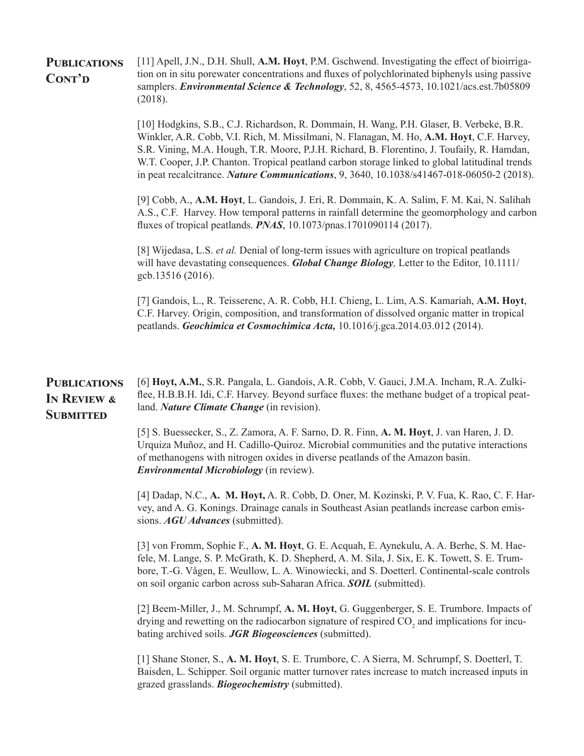| <b>PUBLICATIONS</b> | [11] Apell, J.N., D.H. Shull, A.M. Hoyt, P.M. Gschwend. Investigating the effect of bioirriga-      |
|---------------------|-----------------------------------------------------------------------------------------------------|
| CONT'D              | tion on in situ porewater concentrations and fluxes of polychlorinated biphenyls using passive      |
|                     | samplers. <i>Environmental Science &amp; Technology</i> , 52, 8, 4565-4573, 10.1021/acs.est.7b05809 |
|                     | (2018).                                                                                             |

[10] Hodgkins, S.B., C.J. Richardson, R. Dommain, H. Wang, P.H. Glaser, B. Verbeke, B.R. Winkler, A.R. Cobb, V.I. Rich, M. Missilmani, N. Flanagan, M. Ho, **A.M. Hoyt**, C.F. Harvey, S.R. Vining, M.A. Hough, T.R. Moore, P.J.H. Richard, B. Florentino, J. Toufaily, R. Hamdan, W.T. Cooper, J.P. Chanton. Tropical peatland carbon storage linked to global latitudinal trends in peat recalcitrance. *Nature Communications*, 9, 3640, 10.1038/s41467-018-06050-2 (2018).

[9] Cobb, A., **A.M. Hoyt**, L. Gandois, J. Eri, R. Dommain, K. A. Salim, F. M. Kai, N. Salihah A.S., C.F. Harvey. How temporal patterns in rainfall determine the geomorphology and carbon fluxes of tropical peatlands. *PNAS*, 10.1073/pnas.1701090114 (2017).

[8] Wijedasa, L.S. *et al.* Denial of long-term issues with agriculture on tropical peatlands will have devastating consequences. *Global Change Biology,* Letter to the Editor, 10.1111/ gcb.13516 (2016).

[7] Gandois, L., R. Teisserenc, A. R. Cobb, H.I. Chieng, L. Lim, A.S. Kamariah, **A.M. Hoyt**, C.F. Harvey. Origin, composition, and transformation of dissolved organic matter in tropical peatlands. *Geochimica et Cosmochimica Acta,* 10.1016/j.gca.2014.03.012 (2014).

#### **Publications In Review & SUBMITTED** [6] **Hoyt, A.M.**, S.R. Pangala, L. Gandois, A.R. Cobb, V. Gauci, J.M.A. Incham, R.A. Zulkiflee, H.B.B.H. Idi, C.F. Harvey. Beyond surface fluxes: the methane budget of a tropical peatland. *Nature Climate Change* (in revision).

[5] S. Buessecker, S., Z. Zamora, A. F. Sarno, D. R. Finn, **A. M. Hoyt**, J. van Haren, J. D. Urquiza Muñoz, and H. Cadillo-Quiroz. Microbial communities and the putative interactions of methanogens with nitrogen oxides in diverse peatlands of the Amazon basin. *Environmental Microbiology* (in review).

[4] Dadap, N.C., **A. M. Hoyt,** A. R. Cobb, D. Oner, M. Kozinski, P. V. Fua, K. Rao, C. F. Harvey, and A. G. Konings. Drainage canals in Southeast Asian peatlands increase carbon emissions. *AGU Advances* (submitted).

[3] von Fromm, Sophie F., **A. M. Hoyt**, G. E. Acquah, E. Aynekulu, A. A. Berhe, S. M. Haefele, M. Lange, S. P. McGrath, K. D. Shepherd, A. M. Sila, J. Six, E. K. Towett, S. E. Trumbore, T.-G. Vågen, E. Weullow, L. A. Winowiecki, and S. Doetterl. Continental-scale controls on soil organic carbon across sub-Saharan Africa. *SOIL* (submitted).

[2] Beem-Miller, J., M. Schrumpf, **A. M. Hoyt**, G. Guggenberger, S. E. Trumbore. Impacts of drying and rewetting on the radiocarbon signature of respired  $\mathrm{CO}_2$  and implications for incubating archived soils. *JGR Biogeosciences* (submitted).

[1] Shane Stoner, S., **A. M. Hoyt**, S. E. Trumbore, C. A Sierra, M. Schrumpf, S. Doetterl, T. Baisden, L. Schipper. Soil organic matter turnover rates increase to match increased inputs in grazed grasslands. *Biogeochemistry* (submitted).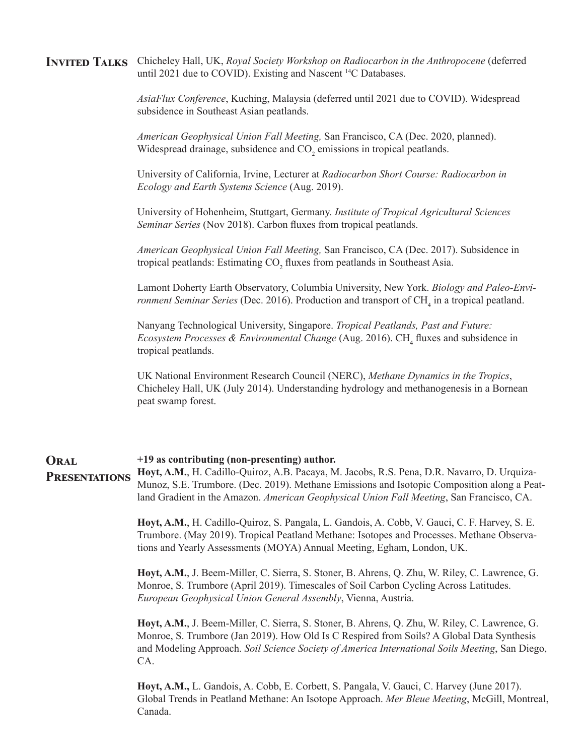**Invited Talks** Chicheley Hall, UK, *Royal Society Workshop on Radiocarbon in the Anthropocene* (deferred until 2021 due to COVID). Existing and Nascent <sup>14</sup>C Databases.

> *AsiaFlux Conference*, Kuching, Malaysia (deferred until 2021 due to COVID). Widespread subsidence in Southeast Asian peatlands.

*American Geophysical Union Fall Meeting,* San Francisco, CA (Dec. 2020, planned). Widespread drainage, subsidence and  $CO_2$  emissions in tropical peatlands.

University of California, Irvine, Lecturer at *Radiocarbon Short Course: Radiocarbon in Ecology and Earth Systems Science* (Aug. 2019).

University of Hohenheim, Stuttgart, Germany. *Institute of Tropical Agricultural Sciences Seminar Series* (Nov 2018). Carbon fluxes from tropical peatlands.

*American Geophysical Union Fall Meeting,* San Francisco, CA (Dec. 2017). Subsidence in tropical peatlands: Estimating  $\mathrm{CO}_2$  fluxes from peatlands in Southeast Asia.

Lamont Doherty Earth Observatory, Columbia University, New York. *Biology and Paleo-Environment Seminar Series* (Dec. 2016). Production and transport of CH<sub>4</sub> in a tropical peatland.

Nanyang Technological University, Singapore. *Tropical Peatlands, Past and Future: Ecosystem Processes & Environmental Change* (Aug. 2016). CH<sub>4</sub> fluxes and subsidence in tropical peatlands.

UK National Environment Research Council (NERC), *Methane Dynamics in the Tropics*, Chicheley Hall, UK (July 2014). Understanding hydrology and methanogenesis in a Bornean peat swamp forest.

#### **+19 as contributing (non-presenting) author. Oral**

**Hoyt, A.M.**, H. Cadillo-Quiroz, A.B. Pacaya, M. Jacobs, R.S. Pena, D.R. Navarro, D. Urquiza-Munoz, S.E. Trumbore. (Dec. 2019). Methane Emissions and Isotopic Composition along a Peatland Gradient in the Amazon. *American Geophysical Union Fall Meeting*, San Francisco, CA. **Presentations**

> **Hoyt, A.M.**, H. Cadillo-Quiroz, S. Pangala, L. Gandois, A. Cobb, V. Gauci, C. F. Harvey, S. E. Trumbore. (May 2019). Tropical Peatland Methane: Isotopes and Processes. Methane Observations and Yearly Assessments (MOYA) Annual Meeting, Egham, London, UK.

> **Hoyt, A.M.**, J. Beem-Miller, C. Sierra, S. Stoner, B. Ahrens, Q. Zhu, W. Riley, C. Lawrence, G. Monroe, S. Trumbore (April 2019). Timescales of Soil Carbon Cycling Across Latitudes. *European Geophysical Union General Assembly*, Vienna, Austria.

**Hoyt, A.M.**, J. Beem-Miller, C. Sierra, S. Stoner, B. Ahrens, Q. Zhu, W. Riley, C. Lawrence, G. Monroe, S. Trumbore (Jan 2019). How Old Is C Respired from Soils? A Global Data Synthesis and Modeling Approach. *Soil Science Society of America International Soils Meeting*, San Diego, CA.

**Hoyt, A.M.,** L. Gandois, A. Cobb, E. Corbett, S. Pangala, V. Gauci, C. Harvey (June 2017). Global Trends in Peatland Methane: An Isotope Approach. *Mer Bleue Meeting*, McGill, Montreal, Canada.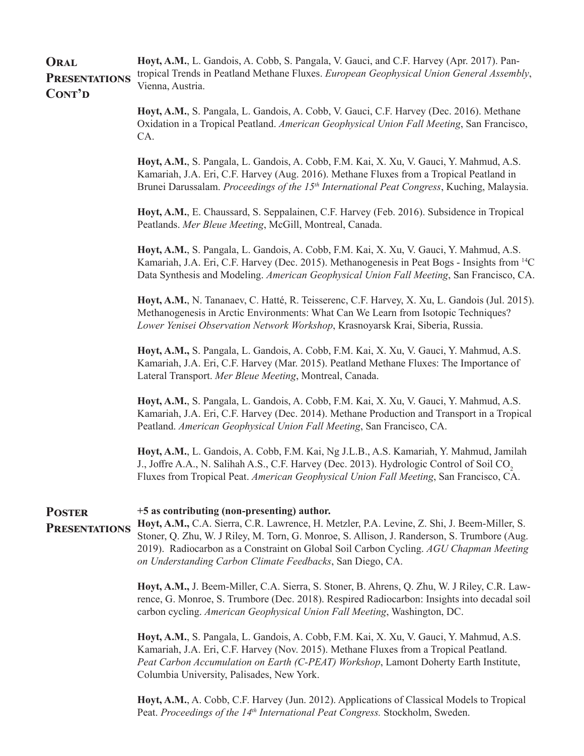**Hoyt, A.M.**, L. Gandois, A. Cobb, S. Pangala, V. Gauci, and C.F. Harvey (Apr. 2017). Pantropical Trends in Peatland Methane Fluxes. *European Geophysical Union General Assembly*, Vienna, Austria. **Oral Presentations** CONT'D

> **Hoyt, A.M.**, S. Pangala, L. Gandois, A. Cobb, V. Gauci, C.F. Harvey (Dec. 2016). Methane Oxidation in a Tropical Peatland. *American Geophysical Union Fall Meeting*, San Francisco, CA.

> **Hoyt, A.M.**, S. Pangala, L. Gandois, A. Cobb, F.M. Kai, X. Xu, V. Gauci, Y. Mahmud, A.S. Kamariah, J.A. Eri, C.F. Harvey (Aug. 2016). Methane Fluxes from a Tropical Peatland in Brunei Darussalam. *Proceedings of the 15th International Peat Congress*, Kuching, Malaysia.

**Hoyt, A.M.**, E. Chaussard, S. Seppalainen, C.F. Harvey (Feb. 2016). Subsidence in Tropical Peatlands. *Mer Bleue Meeting*, McGill, Montreal, Canada.

**Hoyt, A.M.**, S. Pangala, L. Gandois, A. Cobb, F.M. Kai, X. Xu, V. Gauci, Y. Mahmud, A.S. Kamariah, J.A. Eri, C.F. Harvey (Dec. 2015). Methanogenesis in Peat Bogs - Insights from 14C Data Synthesis and Modeling. *American Geophysical Union Fall Meeting*, San Francisco, CA.

**Hoyt, A.M.**, N. Tananaev, C. Hatté, R. Teisserenc, C.F. Harvey, X. Xu, L. Gandois (Jul. 2015). Methanogenesis in Arctic Environments: What Can We Learn from Isotopic Techniques? *Lower Yenisei Observation Network Workshop*, Krasnoyarsk Krai, Siberia, Russia.

**Hoyt, A.M.,** S. Pangala, L. Gandois, A. Cobb, F.M. Kai, X. Xu, V. Gauci, Y. Mahmud, A.S. Kamariah, J.A. Eri, C.F. Harvey (Mar. 2015). Peatland Methane Fluxes: The Importance of Lateral Transport. *Mer Bleue Meeting*, Montreal, Canada.

**Hoyt, A.M.**, S. Pangala, L. Gandois, A. Cobb, F.M. Kai, X. Xu, V. Gauci, Y. Mahmud, A.S. Kamariah, J.A. Eri, C.F. Harvey (Dec. 2014). Methane Production and Transport in a Tropical Peatland. *American Geophysical Union Fall Meeting*, San Francisco, CA.

**Hoyt, A.M.**, L. Gandois, A. Cobb, F.M. Kai, Ng J.L.B., A.S. Kamariah, Y. Mahmud, Jamilah J., Joffre A.A., N. Salihah A.S., C.F. Harvey (Dec. 2013). Hydrologic Control of Soil CO<sub>2</sub> Fluxes from Tropical Peat. *American Geophysical Union Fall Meeting*, San Francisco, CA.

| <b>POSTER</b><br><b>PRESENTATIONS</b> | +5 as contributing (non-presenting) author.<br>Hoyt, A.M., C.A. Sierra, C.R. Lawrence, H. Metzler, P.A. Levine, Z. Shi, J. Beem-Miller, S.<br>Stoner, Q. Zhu, W. J Riley, M. Torn, G. Monroe, S. Allison, J. Randerson, S. Trumbore (Aug.<br>2019). Radiocarbon as a Constraint on Global Soil Carbon Cycling. AGU Chapman Meeting<br>on Understanding Carbon Climate Feedbacks, San Diego, CA. |
|---------------------------------------|-------------------------------------------------------------------------------------------------------------------------------------------------------------------------------------------------------------------------------------------------------------------------------------------------------------------------------------------------------------------------------------------------|
|                                       | Hoyt, A.M., J. Beem-Miller, C.A. Sierra, S. Stoner, B. Ahrens, Q. Zhu, W. J Riley, C.R. Law-<br>rence, G. Monroe, S. Trumbore (Dec. 2018). Respired Radiocarbon: Insights into decadal soil<br>carbon cycling. American Geophysical Union Fall Meeting, Washington, DC.                                                                                                                         |
|                                       | Hoyt, A.M., S. Pangala, L. Gandois, A. Cobb, F.M. Kai, X. Xu, V. Gauci, Y. Mahmud, A.S.<br>Kamariah, J.A. Eri, C.F. Harvey (Nov. 2015). Methane Fluxes from a Tropical Peatland.<br>Peat Carbon Accumulation on Earth (C-PEAT) Workshop, Lamont Doherty Earth Institute,<br>Columbia University, Palisades, New York.                                                                           |
|                                       | Hoyt, A.M., A. Cobb, C.F. Harvey (Jun. 2012). Applications of Classical Models to Tropical                                                                                                                                                                                                                                                                                                      |

Peat. *Proceedings of the 14<sup>th</sup> International Peat Congress*. Stockholm, Sweden.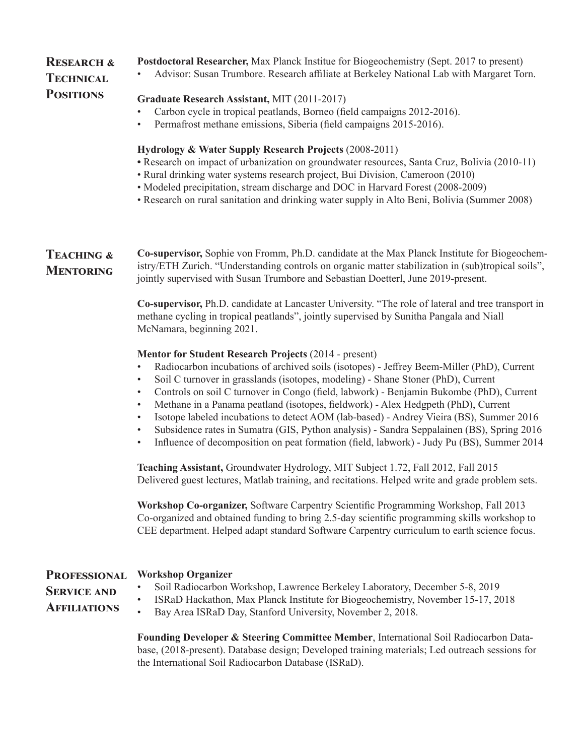## **Research & Technical Positions**

- **Postdoctoral Researcher,** Max Planck Institue for Biogeochemistry (Sept. 2017 to present)
- Advisor: Susan Trumbore. Research affiliate at Berkeley National Lab with Margaret Torn.

### **Graduate Research Assistant,** MIT (2011-2017)

- Carbon cycle in tropical peatlands, Borneo (field campaigns 2012-2016).
- Permafrost methane emissions, Siberia (field campaigns 2015-2016).

### **Hydrology & Water Supply Research Projects** (2008-2011)

- Research on impact of urbanization on groundwater resources, Santa Cruz, Bolivia (2010-11)
- Rural drinking water systems research project, Bui Division, Cameroon (2010)
- Modeled precipitation, stream discharge and DOC in Harvard Forest (2008-2009)
- Research on rural sanitation and drinking water supply in Alto Beni, Bolivia (Summer 2008)

**Teaching & Mentoring Co-supervisor,** Sophie von Fromm, Ph.D. candidate at the Max Planck Institute for Biogeochemistry/ETH Zurich. "Understanding controls on organic matter stabilization in (sub)tropical soils", jointly supervised with Susan Trumbore and Sebastian Doetterl, June 2019-present.

> **Co-supervisor,** Ph.D. candidate at Lancaster University. "The role of lateral and tree transport in methane cycling in tropical peatlands", jointly supervised by Sunitha Pangala and Niall McNamara, beginning 2021.

### **Mentor for Student Research Projects** (2014 - present)

- Radiocarbon incubations of archived soils (isotopes) Jeffrey Beem-Miller (PhD), Current
- Soil C turnover in grasslands (isotopes, modeling) Shane Stoner (PhD), Current
- Controls on soil C turnover in Congo (field, labwork) Benjamin Bukombe (PhD), Current
- Methane in a Panama peatland (isotopes, fieldwork) Alex Hedgpeth (PhD), Current
- Isotope labeled incubations to detect AOM (lab-based) Andrey Vieira (BS), Summer 2016
- Subsidence rates in Sumatra (GIS, Python analysis) Sandra Seppalainen (BS), Spring 2016
- Influence of decomposition on peat formation (field, labwork) Judy Pu (BS), Summer 2014

**Teaching Assistant,** Groundwater Hydrology, MIT Subject 1.72, Fall 2012, Fall 2015 Delivered guest lectures, Matlab training, and recitations. Helped write and grade problem sets.

**Workshop Co-organizer,** Software Carpentry Scientific Programming Workshop, Fall 2013 Co-organized and obtained funding to bring 2.5-day scientific programming skills workshop to CEE department. Helped adapt standard Software Carpentry curriculum to earth science focus.

#### **Professional Workshop Organizer**

• Soil Radiocarbon Workshop, Lawrence Berkeley Laboratory, December 5-8, 2019

### **Service and Affiliations**

- 
- ISRaD Hackathon, Max Planck Institute for Biogeochemistry, November 15-17, 2018
- Bay Area ISRaD Day, Stanford University, November 2, 2018.

**Founding Developer & Steering Committee Member**, International Soil Radiocarbon Database, (2018-present). Database design; Developed training materials; Led outreach sessions for the International Soil Radiocarbon Database (ISRaD).